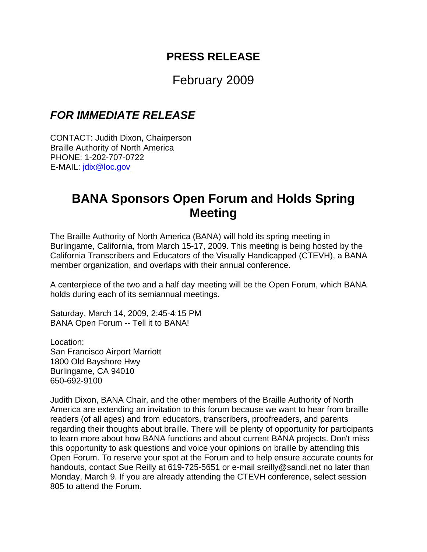## **PRESS RELEASE**

## February 2009

## *FOR IMMEDIATE RELEASE*

CONTACT: Judith Dixon, Chairperson Braille Authority of North America PHONE: 1-202-707-0722 E-MAIL: jdix@loc.gov

## **BANA Sponsors Open Forum and Holds Spring Meeting**

The Braille Authority of North America (BANA) will hold its spring meeting in Burlingame, California, from March 15-17, 2009. This meeting is being hosted by the California Transcribers and Educators of the Visually Handicapped (CTEVH), a BANA member organization, and overlaps with their annual conference.

A centerpiece of the two and a half day meeting will be the Open Forum, which BANA holds during each of its semiannual meetings.

Saturday, March 14, 2009, 2:45-4:15 PM BANA Open Forum -- Tell it to BANA!

Location: San Francisco Airport Marriott 1800 Old Bayshore Hwy Burlingame, CA 94010 650-692-9100

Judith Dixon, BANA Chair, and the other members of the Braille Authority of North America are extending an invitation to this forum because we want to hear from braille readers (of all ages) and from educators, transcribers, proofreaders, and parents regarding their thoughts about braille. There will be plenty of opportunity for participants to learn more about how BANA functions and about current BANA projects. Don't miss this opportunity to ask questions and voice your opinions on braille by attending this Open Forum. To reserve your spot at the Forum and to help ensure accurate counts for handouts, contact Sue Reilly at 619-725-5651 or e-mail sreilly@sandi.net no later than Monday, March 9. If you are already attending the CTEVH conference, select session 805 to attend the Forum.